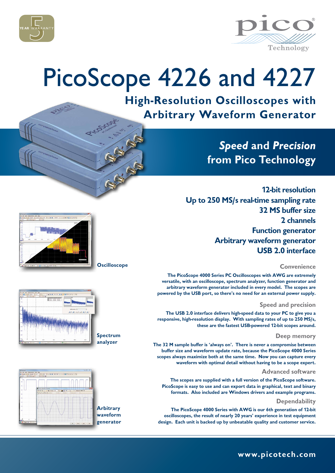



# PicoScope 4226 and 4227

**High-Resolution Oscilloscopes with Arbitrary Waveform Generator**

## *Speed* **and** *Precision* **from Pico Technology**

**12-bit resolution Up to 250 MS/s real-time sampling rate 32 MS buffer size 2 channels Function generator Arbitrary waveform generator USB 2.0 interface**

#### **Convenience**

**The PicoScope 4000 Series PC Oscilloscopes with AWG are extremely versatile, with an oscilloscope, spectrum analyzer, function generator and arbitrary waveform generator included in every model. The scopes are powered by the USB port, so there's no need for an external power supply.** 

#### **Speed and precision**

**The USB 2.0 interface delivers high-speed data to your PC to give you a responsive, high-resolution display. With sampling rates of up to 250 MS/s, these are the fastest USB-powered 12-bit scopes around.**

#### **Deep memory**

**The 32 M sample buffer is 'always on'. There is never a compromise between buffer size and waveform update rate, because the PicoScope 4000 Series scopes always maximize both at the same time. Now you can capture every waveform with optimal detail without having to be a scope expert.**

#### **Advanced software**

**The scopes are supplied with a full version of the PicoScope software. PicoScope is easy to use and can export data in graphical, text and binary formats. Also included are Windows drivers and example programs.** 

### **Dependability**

**The PicoScope 4000 Series with AWG is our 6th generation of 12-bit oscilloscopes, the result of nearly 20 years' experience in test equipment design. Each unit is backed up by unbeatable quality and customer service.**